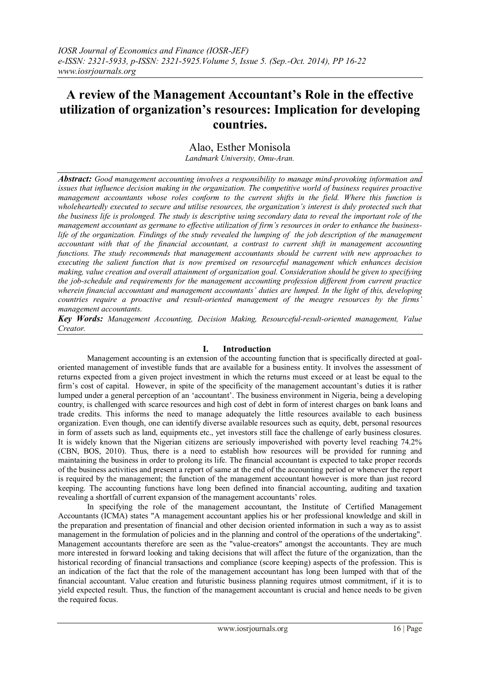# **A review of the Management Accountant's Role in the effective utilization of organization's resources: Implication for developing countries.**

Alao, Esther Monisola

*Landmark University, Omu-Aran.*

*Abstract: Good management accounting involves a responsibility to manage mind-provoking information and issues that influence decision making in the organization. The competitive world of business requires proactive management accountants whose roles conform to the current shifts in the field. Where this function is wholeheartedly executed to secure and utilise resources, the organization's interest is duly protected such that the business life is prolonged. The study is descriptive using secondary data to reveal the important role of the management accountant as germane to effective utilization of firm's resources in order to enhance the businesslife of the organization. Findings of the study revealed the lumping of the job description of the management accountant with that of the financial accountant, a contrast to current shift in management accounting functions. The study recommends that management accountants should be current with new approaches to executing the salient function that is now premised on resourceful management which enhances decision making, value creation and overall attainment of organization goal. Consideration should be given to specifying the job-schedule and requirements for the management accounting profession different from current practice wherein financial accountant and management accountants' duties are lumped. In the light of this, developing countries require a proactive and result-oriented management of the meagre resources by the firms' management accountants.*

*Key Words: Management Accounting, Decision Making, Resourceful-result-oriented management, Value Creator.* 

## **I. Introduction**

Management accounting is an extension of the accounting function that is specifically directed at goaloriented management of investible funds that are available for a business entity. It involves the assessment of returns expected from a given project investment in which the returns must exceed or at least be equal to the firm's cost of capital. However, in spite of the specificity of the management accountant's duties it is rather lumped under a general perception of an 'accountant'. The business environment in Nigeria, being a developing country, is challenged with scarce resources and high cost of debt in form of interest charges on bank loans and trade credits. This informs the need to manage adequately the little resources available to each business organization. Even though, one can identify diverse available resources such as equity, debt, personal resources in form of assets such as land, equipments etc., yet investors still face the challenge of early business closures. It is widely known that the Nigerian citizens are seriously impoverished with poverty level reaching 74.2% (CBN, BOS, 2010). Thus, there is a need to establish how resources will be provided for running and maintaining the business in order to prolong its life. The financial accountant is expected to take proper records of the business activities and present a report of same at the end of the accounting period or whenever the report is required by the management; the function of the management accountant however is more than just record keeping. The accounting functions have long been defined into financial accounting, auditing and taxation revealing a shortfall of current expansion of the management accountants' roles.

In specifying the role of the management accountant, the Institute of Certified Management Accountants (ICMA) states "A management accountant applies his or her professional knowledge and skill in the preparation and presentation of financial and other decision oriented information in such a way as to assist management in the formulation of policies and in the planning and control of the operations of the undertaking". Management accountants therefore are seen as the "value-creators" amongst the accountants. They are much more interested in forward looking and taking decisions that will affect the future of the organization, than the historical recording of financial transactions and compliance (score keeping) aspects of the profession. This is an indication of the fact that the role of the management accountant has long been lumped with that of the financial accountant. Value creation and futuristic business planning requires utmost commitment, if it is to yield expected result. Thus, the function of the management accountant is crucial and hence needs to be given the required focus.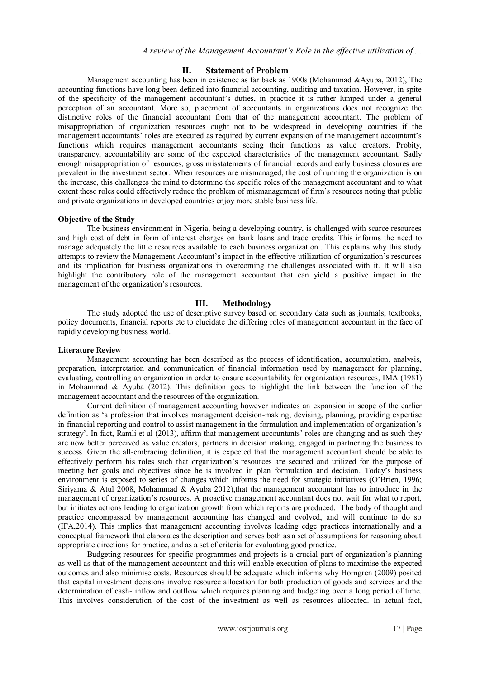### **II. Statement of Problem**

Management accounting has been in existence as far back as 1900s (Mohammad &Ayuba, 2012), The accounting functions have long been defined into financial accounting, auditing and taxation. However, in spite of the specificity of the management accountant's duties, in practice it is rather lumped under a general perception of an accountant. More so, placement of accountants in organizations does not recognize the distinctive roles of the financial accountant from that of the management accountant. The problem of misappropriation of organization resources ought not to be widespread in developing countries if the management accountants' roles are executed as required by current expansion of the management accountant's functions which requires management accountants seeing their functions as value creators. Probity, transparency, accountability are some of the expected characteristics of the management accountant. Sadly enough misappropriation of resources, gross misstatements of financial records and early business closures are prevalent in the investment sector. When resources are mismanaged, the cost of running the organization is on the increase, this challenges the mind to determine the specific roles of the management accountant and to what extent these roles could effectively reduce the problem of mismanagement of firm's resources noting that public and private organizations in developed countries enjoy more stable business life.

#### **Objective of the Study**

The business environment in Nigeria, being a developing country, is challenged with scarce resources and high cost of debt in form of interest charges on bank loans and trade credits. This informs the need to manage adequately the little resources available to each business organization.. This explains why this study attempts to review the Management Accountant's impact in the effective utilization of organization's resources and its implication for business organizations in overcoming the challenges associated with it. It will also highlight the contributory role of the management accountant that can yield a positive impact in the management of the organization's resources.

#### **III. Methodology**

The study adopted the use of descriptive survey based on secondary data such as journals, textbooks, policy documents, financial reports etc to elucidate the differing roles of management accountant in the face of rapidly developing business world.

#### **Literature Review**

Management accounting has been described as the process of identification, accumulation, analysis, preparation, interpretation and communication of financial information used by management for planning, evaluating, controlling an organization in order to ensure accountability for organization resources, IMA (1981) in Mohammad & Ayuba (2012). This definition goes to highlight the link between the function of the management accountant and the resources of the organization.

Current definition of management accounting however indicates an expansion in scope of the earlier definition as 'a profession that involves management decision-making, devising, planning, providing expertise in financial reporting and control to assist management in the formulation and implementation of organization's strategy'. In fact, Ramli et al (2013), affirm that management accountants' roles are changing and as such they are now better perceived as value creators, partners in decision making, engaged in partnering the business to success. Given the all-embracing definition, it is expected that the management accountant should be able to effectively perform his roles such that organization's resources are secured and utilized for the purpose of meeting her goals and objectives since he is involved in plan formulation and decision. Today's business environment is exposed to series of changes which informs the need for strategic initiatives (O'Brien, 1996; Siriyama & Atul 2008, Mohammad & Ayuba 2012),that the management accountant has to introduce in the management of organization's resources. A proactive management accountant does not wait for what to report, but initiates actions leading to organization growth from which reports are produced. The body of thought and practice encompassed by management accounting has changed and evolved, and will continue to do so (IFA,2014). This implies that management accounting involves leading edge practices internationally and a conceptual framework that elaborates the description and serves both as a set of assumptions for reasoning about appropriate directions for practice, and as a set of criteria for evaluating good practice.

Budgeting resources for specific programmes and projects is a crucial part of organization's planning as well as that of the management accountant and this will enable execution of plans to maximise the expected outcomes and also minimise costs. Resources should be adequate which informs why Horngren (2009) posited that capital investment decisions involve resource allocation for both production of goods and services and the determination of cash- inflow and outflow which requires planning and budgeting over a long period of time. This involves consideration of the cost of the investment as well as resources allocated. In actual fact,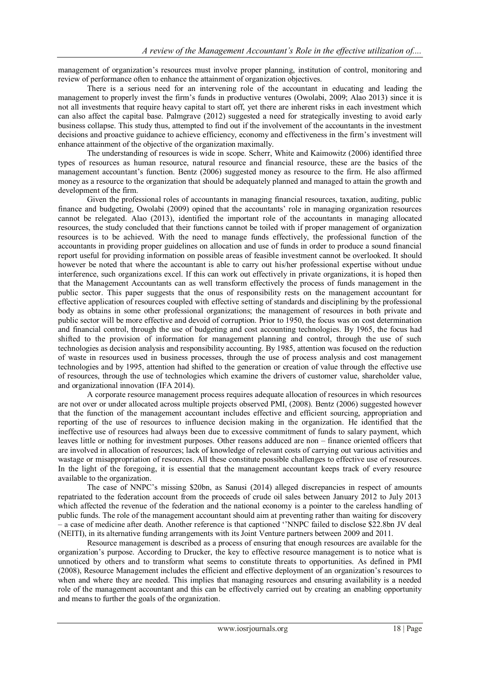management of organization's resources must involve proper planning, institution of control, monitoring and review of performance often to enhance the attainment of organization objectives.

There is a serious need for an intervening role of the accountant in educating and leading the management to properly invest the firm's funds in productive ventures (Owolabi, 2009; Alao 2013) since it is not all investments that require heavy capital to start off, yet there are inherent risks in each investment which can also affect the capital base. Palmgrave (2012) suggested a need for strategically investing to avoid early business collapse. This study thus, attempted to find out if the involvement of the accountants in the investment decisions and proactive guidance to achieve efficiency, economy and effectiveness in the firm's investment will enhance attainment of the objective of the organization maximally.

The understanding of resources is wide in scope. Scherr, White and Kaimowitz (2006) identified three types of resources as human resource, natural resource and financial resource, these are the basics of the management accountant's function. Bentz (2006) suggested money as resource to the firm. He also affirmed money as a resource to the organization that should be adequately planned and managed to attain the growth and development of the firm.

Given the professional roles of accountants in managing financial resources, taxation, auditing, public finance and budgeting, Owolabi (2009) opined that the accountants' role in managing organization resources cannot be relegated. Alao (2013), identified the important role of the accountants in managing allocated resources, the study concluded that their functions cannot be toiled with if proper management of organization resources is to be achieved. With the need to manage funds effectively, the professional function of the accountants in providing proper guidelines on allocation and use of funds in order to produce a sound financial report useful for providing information on possible areas of feasible investment cannot be overlooked. It should however be noted that where the accountant is able to carry out his/her professional expertise without undue interference, such organizations excel. If this can work out effectively in private organizations, it is hoped then that the Management Accountants can as well transform effectively the process of funds management in the public sector. This paper suggests that the onus of responsibility rests on the management accountant for effective application of resources coupled with effective setting of standards and disciplining by the professional body as obtains in some other professional organizations; the management of resources in both private and public sector will be more effective and devoid of corruption. Prior to 1950, the focus was on cost determination and financial control, through the use of budgeting and cost accounting technologies. By 1965, the focus had shifted to the provision of information for management planning and control, through the use of such technologies as decision analysis and responsibility accounting. By 1985, attention was focused on the reduction of waste in resources used in business processes, through the use of process analysis and cost management technologies and by 1995, attention had shifted to the generation or creation of value through the effective use of resources, through the use of technologies which examine the drivers of customer value, shareholder value, and organizational innovation (IFA 2014).

A corporate resource management process requires adequate allocation of resources in which resources are not over or under allocated across multiple projects observed PMI, (2008). Bentz (2006) suggested however that the function of the management accountant includes effective and efficient sourcing, appropriation and reporting of the use of resources to influence decision making in the organization. He identified that the ineffective use of resources had always been due to excessive commitment of funds to salary payment, which leaves little or nothing for investment purposes. Other reasons adduced are non – finance oriented officers that are involved in allocation of resources; lack of knowledge of relevant costs of carrying out various activities and wastage or misappropriation of resources. All these constitute possible challenges to effective use of resources. In the light of the foregoing, it is essential that the management accountant keeps track of every resource available to the organization.

The case of NNPC's missing \$20bn, as Sanusi (2014) alleged discrepancies in respect of amounts repatriated to the federation account from the proceeds of crude oil sales between January 2012 to July 2013 which affected the revenue of the federation and the national economy is a pointer to the careless handling of public funds. The role of the management accountant should aim at preventing rather than waiting for discovery – a case of medicine after death. Another reference is that captioned ''NNPC failed to disclose \$22.8bn JV deal (NEITI), in its alternative funding arrangements with its Joint Venture partners between 2009 and 2011.

Resource management is described as a process of ensuring that enough resources are available for the organization's purpose. According to Drucker, the key to effective resource management is to notice what is unnoticed by others and to transform what seems to constitute threats to opportunities. As defined in PMI (2008), Resource Management includes the efficient and effective deployment of an organization's resources to when and where they are needed. This implies that managing resources and ensuring availability is a needed role of the management accountant and this can be effectively carried out by creating an enabling opportunity and means to further the goals of the organization.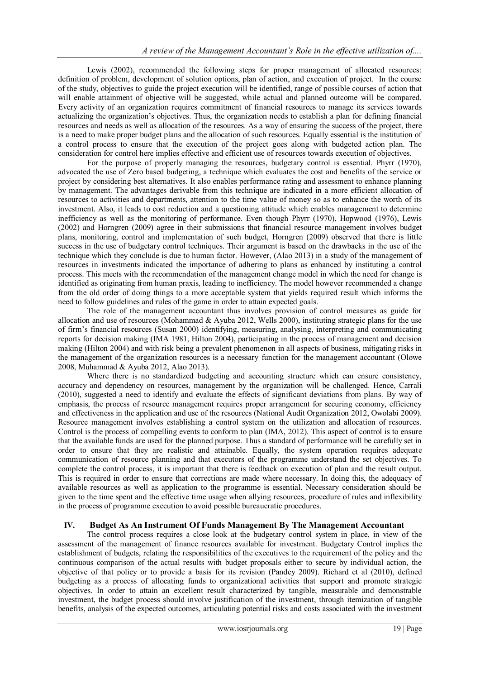Lewis (2002), recommended the following steps for proper management of allocated resources: definition of problem, development of solution options, plan of action, and execution of project. In the course of the study, objectives to guide the project execution will be identified, range of possible courses of action that will enable attainment of objective will be suggested, while actual and planned outcome will be compared. Every activity of an organization requires commitment of financial resources to manage its services towards actualizing the organization's objectives. Thus, the organization needs to establish a plan for defining financial resources and needs as well as allocation of the resources. As a way of ensuring the success of the project, there is a need to make proper budget plans and the allocation of such resources. Equally essential is the institution of a control process to ensure that the execution of the project goes along with budgeted action plan. The consideration for control here implies effective and efficient use of resources towards execution of objectives.

For the purpose of properly managing the resources, budgetary control is essential. Phyrr (1970), advocated the use of Zero based budgeting, a technique which evaluates the cost and benefits of the service or project by considering best alternatives. It also enables performance rating and assessment to enhance planning by management. The advantages derivable from this technique are indicated in a more efficient allocation of resources to activities and departments, attention to the time value of money so as to enhance the worth of its investment. Also, it leads to cost reduction and a questioning attitude which enables management to determine inefficiency as well as the monitoring of performance. Even though Phyrr (1970), Hopwood (1976), Lewis (2002) and Horngren (2009) agree in their submissions that financial resource management involves budget plans, monitoring, control and implementation of such budget, Horngren (2009) observed that there is little success in the use of budgetary control techniques. Their argument is based on the drawbacks in the use of the technique which they conclude is due to human factor. However, (Alao 2013) in a study of the management of resources in investments indicated the importance of adhering to plans as enhanced by instituting a control process. This meets with the recommendation of the management change model in which the need for change is identified as originating from human praxis, leading to inefficiency. The model however recommended a change from the old order of doing things to a more acceptable system that yields required result which informs the need to follow guidelines and rules of the game in order to attain expected goals.

The role of the management accountant thus involves provision of control measures as guide for allocation and use of resources (Mohammad & Ayuba 2012, Wells 2000), instituting strategic plans for the use of firm's financial resources (Susan 2000) identifying, measuring, analysing, interpreting and communicating reports for decision making (IMA 1981, Hilton 2004), participating in the process of management and decision making (Hilton 2004) and with risk being a prevalent phenomenon in all aspects of business, mitigating risks in the management of the organization resources is a necessary function for the management accountant (Olowe 2008, Muhammad & Ayuba 2012, Alao 2013).

Where there is no standardized budgeting and accounting structure which can ensure consistency, accuracy and dependency on resources, management by the organization will be challenged. Hence, Carrali (2010), suggested a need to identify and evaluate the effects of significant deviations from plans. By way of emphasis, the process of resource management requires proper arrangement for securing economy, efficiency and effectiveness in the application and use of the resources (National Audit Organization 2012, Owolabi 2009). Resource management involves establishing a control system on the utilization and allocation of resources. Control is the process of compelling events to conform to plan (IMA, 2012). This aspect of control is to ensure that the available funds are used for the planned purpose. Thus a standard of performance will be carefully set in order to ensure that they are realistic and attainable. Equally, the system operation requires adequate communication of resource planning and that executors of the programme understand the set objectives. To complete the control process, it is important that there is feedback on execution of plan and the result output. This is required in order to ensure that corrections are made where necessary. In doing this, the adequacy of available resources as well as application to the programme is essential. Necessary consideration should be given to the time spent and the effective time usage when allying resources, procedure of rules and inflexibility in the process of programme execution to avoid possible bureaucratic procedures.

## **IV. Budget As An Instrument Of Funds Management By The Management Accountant**

The control process requires a close look at the budgetary control system in place, in view of the assessment of the management of finance resources available for investment. Budgetary Control implies the establishment of budgets, relating the responsibilities of the executives to the requirement of the policy and the continuous comparison of the actual results with budget proposals either to secure by individual action, the objective of that policy or to provide a basis for its revision (Pandey 2009). Richard et al (2010), defined budgeting as a process of allocating funds to organizational activities that support and promote strategic objectives. In order to attain an excellent result characterized by tangible, measurable and demonstrable investment, the budget process should involve justification of the investment, through itemization of tangible benefits, analysis of the expected outcomes, articulating potential risks and costs associated with the investment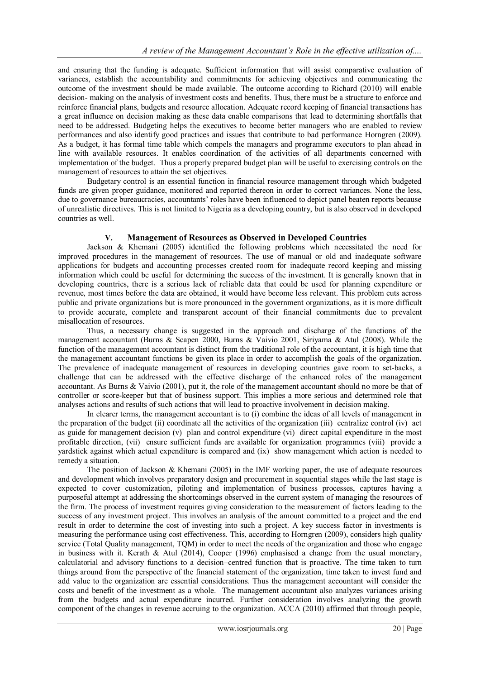and ensuring that the funding is adequate. Sufficient information that will assist comparative evaluation of variances, establish the accountability and commitments for achieving objectives and communicating the outcome of the investment should be made available. The outcome according to Richard (2010) will enable decision- making on the analysis of investment costs and benefits. Thus, there must be a structure to enforce and reinforce financial plans, budgets and resource allocation. Adequate record keeping of financial transactions has a great influence on decision making as these data enable comparisons that lead to determining shortfalls that need to be addressed. Budgeting helps the executives to become better managers who are enabled to review performances and also identify good practices and issues that contribute to bad performance Horngren (2009). As a budget, it has formal time table which compels the managers and programme executors to plan ahead in line with available resources. It enables coordination of the activities of all departments concerned with implementation of the budget. Thus a properly prepared budget plan will be useful to exercising controls on the management of resources to attain the set objectives.

Budgetary control is an essential function in financial resource management through which budgeted funds are given proper guidance, monitored and reported thereon in order to correct variances. None the less, due to governance bureaucracies, accountants' roles have been influenced to depict panel beaten reports because of unrealistic directives. This is not limited to Nigeria as a developing country, but is also observed in developed countries as well.

## **V. Management of Resources as Observed in Developed Countries**

Jackson & Khemani (2005) identified the following problems which necessitated the need for improved procedures in the management of resources. The use of manual or old and inadequate software applications for budgets and accounting processes created room for inadequate record keeping and missing information which could be useful for determining the success of the investment. It is generally known that in developing countries, there is a serious lack of reliable data that could be used for planning expenditure or revenue, most times before the data are obtained, it would have become less relevant. This problem cuts across public and private organizations but is more pronounced in the government organizations, as it is more difficult to provide accurate, complete and transparent account of their financial commitments due to prevalent misallocation of resources.

Thus, a necessary change is suggested in the approach and discharge of the functions of the management accountant (Burns & Scapen 2000, Burns & Vaivio 2001, Siriyama & Atul (2008). While the function of the management accountant is distinct from the traditional role of the accountant, it is high time that the management accountant functions be given its place in order to accomplish the goals of the organization. The prevalence of inadequate management of resources in developing countries gave room to set-backs, a challenge that can be addressed with the effective discharge of the enhanced roles of the management accountant. As Burns & Vaivio (2001), put it, the role of the management accountant should no more be that of controller or score-keeper but that of business support. This implies a more serious and determined role that analyses actions and results of such actions that will lead to proactive involvement in decision making.

In clearer terms, the management accountant is to (i) combine the ideas of all levels of management in the preparation of the budget (ii) coordinate all the activities of the organization (iii) centralize control (iv) act as guide for management decision (v) plan and control expenditure (vi) direct capital expenditure in the most profitable direction, (vii) ensure sufficient funds are available for organization programmes (viii) provide a yardstick against which actual expenditure is compared and (ix) show management which action is needed to remedy a situation.

The position of Jackson  $&$  Khemani (2005) in the IMF working paper, the use of adequate resources and development which involves preparatory design and procurement in sequential stages while the last stage is expected to cover customization, piloting and implementation of business processes, captures having a purposeful attempt at addressing the shortcomings observed in the current system of managing the resources of the firm. The process of investment requires giving consideration to the measurement of factors leading to the success of any investment project. This involves an analysis of the amount committed to a project and the end result in order to determine the cost of investing into such a project. A key success factor in investments is measuring the performance using cost effectiveness. This, according to Horngren (2009), considers high quality service (Total Quality management, TQM) in order to meet the needs of the organization and those who engage in business with it. Kerath & Atul (2014), Cooper (1996) emphasised a change from the usual monetary, calculatorial and advisory functions to a decision–centred function that is proactive. The time taken to turn things around from the perspective of the financial statement of the organization, time taken to invest fund and add value to the organization are essential considerations. Thus the management accountant will consider the costs and benefit of the investment as a whole. The management accountant also analyzes variances arising from the budgets and actual expenditure incurred. Further consideration involves analyzing the growth component of the changes in revenue accruing to the organization. ACCA (2010) affirmed that through people,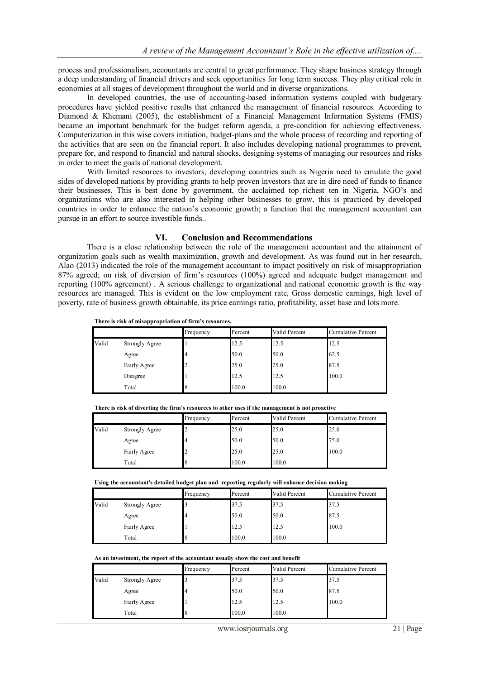process and professionalism, accountants are central to great performance. They shape business strategy through a deep understanding of financial drivers and seek opportunities for long term success. They play critical role in economies at all stages of development throughout the world and in diverse organizations.

In developed countries, the use of accounting-based information systems coupled with budgetary procedures have yielded positive results that enhanced the management of financial resources. According to Diamond & Khemani (2005), the establishment of a Financial Management Information Systems (FMIS) became an important benchmark for the budget reform agenda, a pre-condition for achieving effectiveness. Computerization in this wise covers initiation, budget-plans and the whole process of recording and reporting of the activities that are seen on the financial report. It also includes developing national programmes to prevent, prepare for, and respond to financial and natural shocks, designing systems of managing our resources and risks in order to meet the goals of national development.

With limited resources to investors, developing countries such as Nigeria need to emulate the good sides of developed nations by providing grants to help proven investors that are in dire need of funds to finance their businesses. This is best done by government, the acclaimed top richest ten in Nigeria, NGO's and organizations who are also interested in helping other businesses to grow, this is practiced by developed countries in order to enhance the nation's economic growth; a function that the management accountant can pursue in an effort to source investible funds..

#### **VI. Conclusion and Recommendations**

There is a close relationship between the role of the management accountant and the attainment of organization goals such as wealth maximization, growth and development. As was found out in her research, Alao (2013) indicated the role of the management accountant to impact positively on risk of misappropriation 87% agreed; on risk of diversion of firm's resources (100%) agreed and adequate budget management and reporting (100% agreement) . A serious challenge to organizational and national economic growth is the way resources are managed. This is evident on the low employment rate, Gross domestic earnings, high level of poverty, rate of business growth obtainable, its price earnings ratio, profitability, asset base and lots more.

| There is risk of misappropriation of firm's resources. |  |  |  |  |  |  |  |  |  |
|--------------------------------------------------------|--|--|--|--|--|--|--|--|--|
|--------------------------------------------------------|--|--|--|--|--|--|--|--|--|

|       |                       | Frequency | Percent | Valid Percent | <b>Cumulative Percent</b> |
|-------|-----------------------|-----------|---------|---------------|---------------------------|
| Valid | <b>Strongly Agree</b> |           | 12.5    | 12.5          | 12.5                      |
|       | Agree                 |           | 50.0    | 50.0          | 62.5                      |
|       | Fairly Agree          |           | 25.0    | 25.0          | 87.5                      |
|       | Disagree              |           | 12.5    | 12.5          | 100.0                     |
|       | Total                 |           | 100.0   | 100.0         |                           |

**There is risk of diverting the firm's resources to other uses if the management is not proactive**

|       |                       | Frequency | Percent | Valid Percent | <b>Cumulative Percent</b> |
|-------|-----------------------|-----------|---------|---------------|---------------------------|
| Valid | <b>Strongly Agree</b> |           | 25.0    | 25.0          | 25.0                      |
|       | Agree                 |           | 50.0    | 50.0          | 75.0                      |
|       | Fairly Agree          |           | 25.0    | 25.0          | 100.0                     |
|       | Total                 |           | 100.0   | 100.0         |                           |

|  | Using the accountant's detailed budget plan and reporting regularly will enhance decision making |
|--|--------------------------------------------------------------------------------------------------|
|--|--------------------------------------------------------------------------------------------------|

|       |                       | Frequency | Percent | Valid Percent | <b>Cumulative Percent</b> |
|-------|-----------------------|-----------|---------|---------------|---------------------------|
| Valid | <b>Strongly Agree</b> |           | 37.5    | 37.5          | 37.5                      |
|       | Agree                 |           | 50.0    | 50.0          | 87.5                      |
|       | Fairly Agree          |           | 12.5    | 12.5          | 100.0                     |
|       | Total                 |           | 100.0   | 100.0         |                           |

**As an investment, the report of the accountant usually show the cost and benefit** 

|       |                       | Frequency | Percent | Valid Percent | <b>Cumulative Percent</b> |
|-------|-----------------------|-----------|---------|---------------|---------------------------|
| Valid | <b>Strongly Agree</b> |           | 37.5    | 37.5          | 37.5                      |
|       | Agree                 |           | 50.0    | 50.0          | 87.5                      |
|       | Fairly Agree          |           | 12.5    | 12.5          | 100.0                     |
|       | Total                 |           | 100.0   | 100.0         |                           |